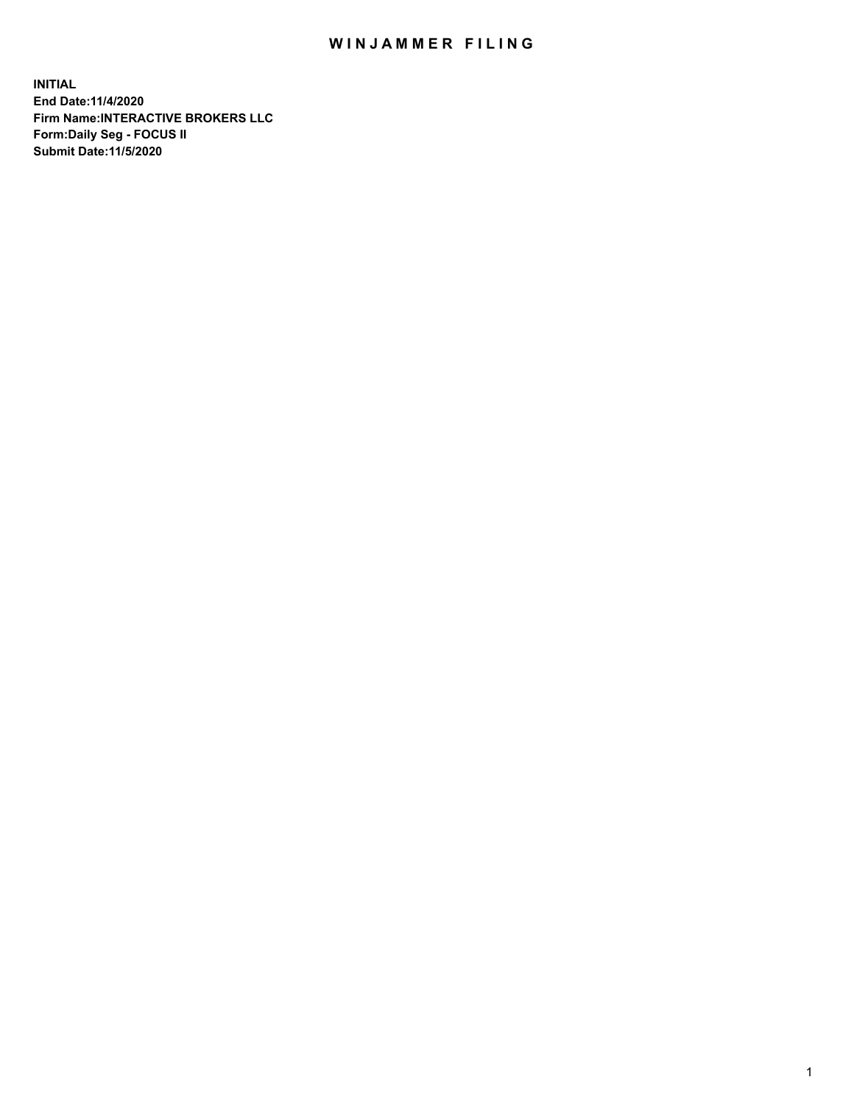## WIN JAMMER FILING

**INITIAL End Date:11/4/2020 Firm Name:INTERACTIVE BROKERS LLC Form:Daily Seg - FOCUS II Submit Date:11/5/2020**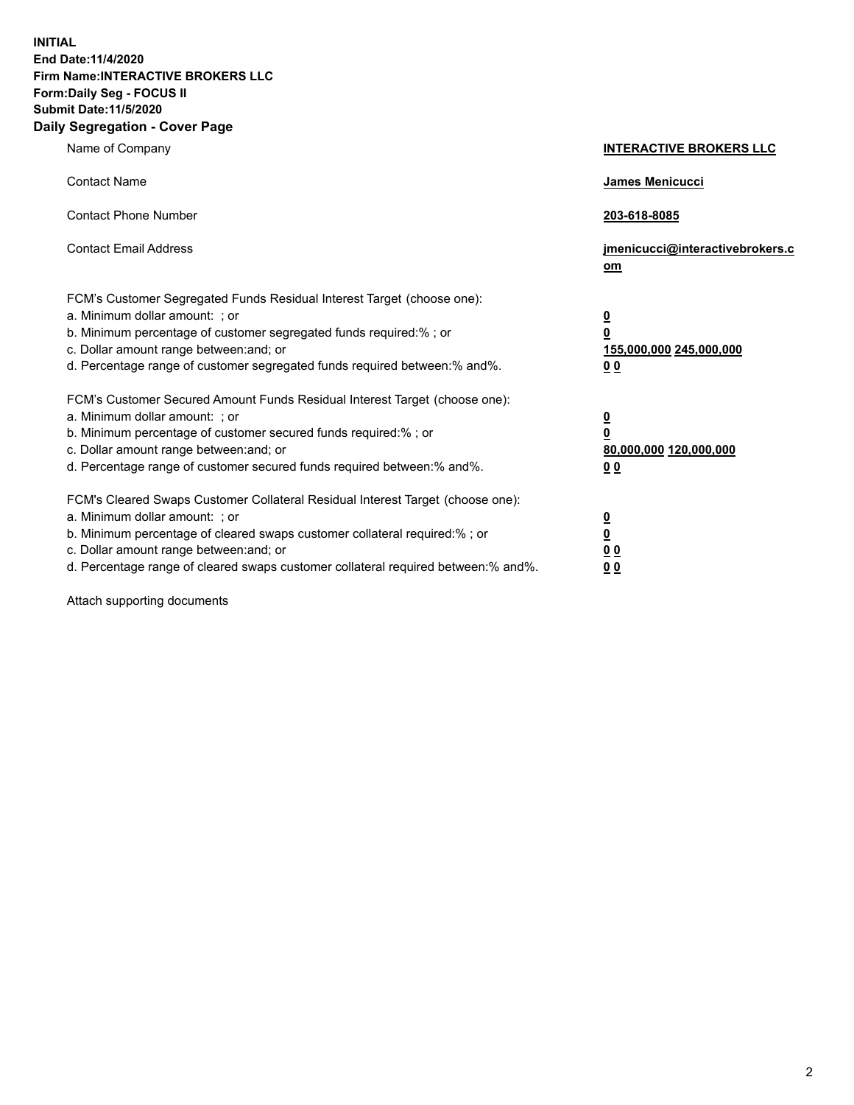**INITIAL End Date:11/4/2020 Firm Name:INTERACTIVE BROKERS LLC Form:Daily Seg - FOCUS II Submit Date:11/5/2020 Daily Segregation - Cover Page**

| Name of Company                                                                                                                                                                                                                                                                                                                | <b>INTERACTIVE BROKERS LLC</b>                                                   |  |
|--------------------------------------------------------------------------------------------------------------------------------------------------------------------------------------------------------------------------------------------------------------------------------------------------------------------------------|----------------------------------------------------------------------------------|--|
| <b>Contact Name</b>                                                                                                                                                                                                                                                                                                            | James Menicucci                                                                  |  |
| <b>Contact Phone Number</b>                                                                                                                                                                                                                                                                                                    | 203-618-8085                                                                     |  |
| <b>Contact Email Address</b>                                                                                                                                                                                                                                                                                                   | jmenicucci@interactivebrokers.c<br>om                                            |  |
| FCM's Customer Segregated Funds Residual Interest Target (choose one):<br>a. Minimum dollar amount: ; or<br>b. Minimum percentage of customer segregated funds required:% ; or<br>c. Dollar amount range between: and; or<br>d. Percentage range of customer segregated funds required between:% and%.                         | <u>0</u><br>$\overline{\mathbf{0}}$<br>155,000,000 245,000,000<br>0 <sub>0</sub> |  |
| FCM's Customer Secured Amount Funds Residual Interest Target (choose one):<br>a. Minimum dollar amount: ; or<br>b. Minimum percentage of customer secured funds required:% ; or<br>c. Dollar amount range between: and; or<br>d. Percentage range of customer secured funds required between:% and%.                           | <u>0</u><br>$\overline{\mathbf{0}}$<br>80,000,000 120,000,000<br>0 <sub>0</sub>  |  |
| FCM's Cleared Swaps Customer Collateral Residual Interest Target (choose one):<br>a. Minimum dollar amount: ; or<br>b. Minimum percentage of cleared swaps customer collateral required:% ; or<br>c. Dollar amount range between: and; or<br>d. Percentage range of cleared swaps customer collateral required between:% and%. | <u>0</u><br>$\underline{\mathbf{0}}$<br>0 <sub>0</sub><br>0 <sub>0</sub>         |  |

Attach supporting documents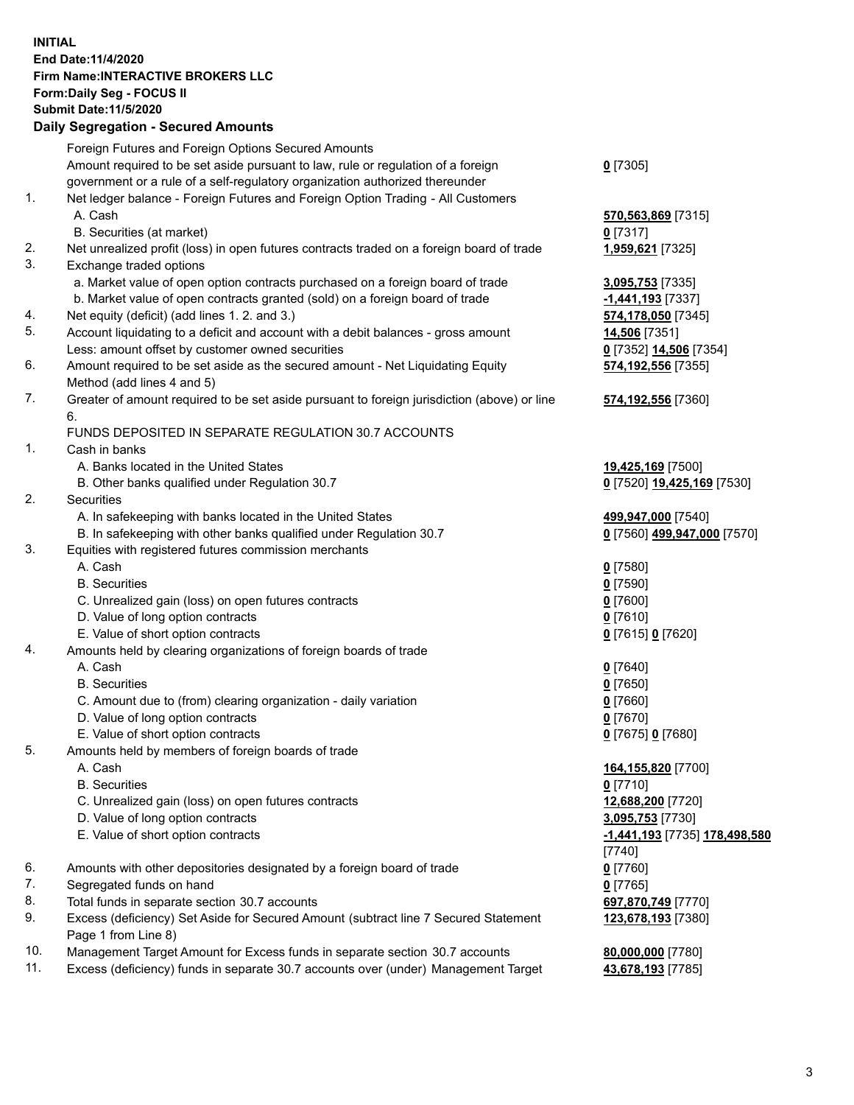**INITIAL End Date:11/4/2020 Firm Name:INTERACTIVE BROKERS LLC Form:Daily Seg - FOCUS II Submit Date:11/5/2020 Daily Segregation - Secured Amounts**

## Foreign Futures and Foreign Options Secured Amounts Amount required to be set aside pursuant to law, rule or regulation of a foreign government or a rule of a self-regulatory organization authorized thereunder **0** [7305] 1. Net ledger balance - Foreign Futures and Foreign Option Trading - All Customers A. Cash **570,563,869** [7315] B. Securities (at market) **0** [7317] 2. Net unrealized profit (loss) in open futures contracts traded on a foreign board of trade **1,959,621** [7325] 3. Exchange traded options a. Market value of open option contracts purchased on a foreign board of trade **3,095,753** [7335] b. Market value of open contracts granted (sold) on a foreign board of trade **-1,441,193** [7337] 4. Net equity (deficit) (add lines 1. 2. and 3.) **574,178,050** [7345] 5. Account liquidating to a deficit and account with a debit balances - gross amount **14,506** [7351] Less: amount offset by customer owned securities **0** [7352] **14,506** [7354] 6. Amount required to be set aside as the secured amount - Net Liquidating Equity Method (add lines 4 and 5) **574,192,556** [7355] 7. Greater of amount required to be set aside pursuant to foreign jurisdiction (above) or line 6. **574,192,556** [7360] FUNDS DEPOSITED IN SEPARATE REGULATION 30.7 ACCOUNTS 1. Cash in banks A. Banks located in the United States **19,425,169** [7500] B. Other banks qualified under Regulation 30.7 **0** [7520] **19,425,169** [7530] 2. Securities A. In safekeeping with banks located in the United States **499,947,000** [7540] B. In safekeeping with other banks qualified under Regulation 30.7 **0** [7560] **499,947,000** [7570] 3. Equities with registered futures commission merchants A. Cash **0** [7580] B. Securities **0** [7590] C. Unrealized gain (loss) on open futures contracts **0** [7600] D. Value of long option contracts **0** [7610] E. Value of short option contracts **0** [7615] **0** [7620] 4. Amounts held by clearing organizations of foreign boards of trade A. Cash **0** [7640] B. Securities **0** [7650] C. Amount due to (from) clearing organization - daily variation **0** [7660] D. Value of long option contracts **0** [7670] E. Value of short option contracts **0** [7675] **0** [7680] 5. Amounts held by members of foreign boards of trade A. Cash **164,155,820** [7700] B. Securities **0** [7710] C. Unrealized gain (loss) on open futures contracts **12,688,200** [7720] D. Value of long option contracts **3,095,753** [7730] E. Value of short option contracts **-1,441,193** [7735] **178,498,580** [7740] 6. Amounts with other depositories designated by a foreign board of trade **0** [7760] 7. Segregated funds on hand **0** [7765] 8. Total funds in separate section 30.7 accounts **697,870,749** [7770] 9. Excess (deficiency) Set Aside for Secured Amount (subtract line 7 Secured Statement Page 1 from Line 8) **123,678,193** [7380] 10. Management Target Amount for Excess funds in separate section 30.7 accounts **80,000,000** [7780] 11. Excess (deficiency) funds in separate 30.7 accounts over (under) Management Target **43,678,193** [7785]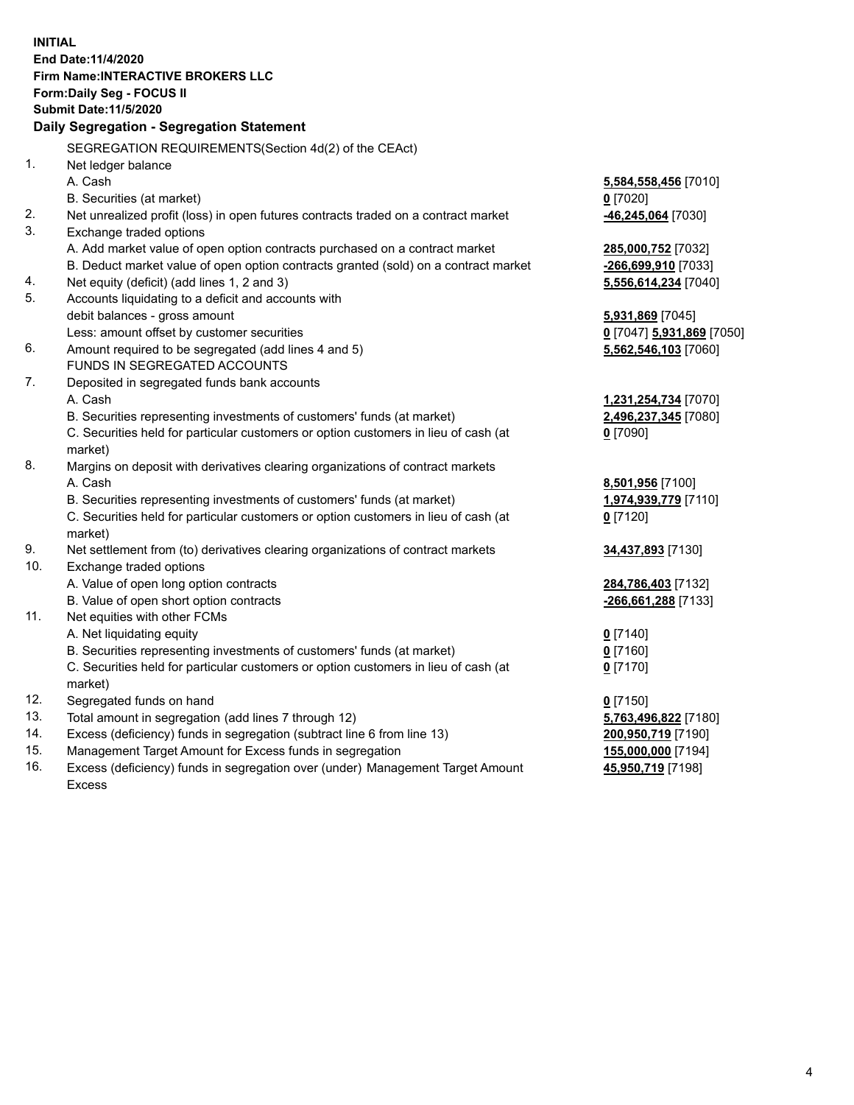**INITIAL End Date:11/4/2020 Firm Name:INTERACTIVE BROKERS LLC Form:Daily Seg - FOCUS II Submit Date:11/5/2020 Daily Segregation - Segregation Statement** SEGREGATION REQUIREMENTS(Section 4d(2) of the CEAct) 1. Net ledger balance A. Cash **5,584,558,456** [7010] B. Securities (at market) **0** [7020] 2. Net unrealized profit (loss) in open futures contracts traded on a contract market **-46,245,064** [7030] 3. Exchange traded options A. Add market value of open option contracts purchased on a contract market **285,000,752** [7032] B. Deduct market value of open option contracts granted (sold) on a contract market **-266,699,910** [7033] 4. Net equity (deficit) (add lines 1, 2 and 3) **5,556,614,234** [7040] 5. Accounts liquidating to a deficit and accounts with debit balances - gross amount **5,931,869** [7045] Less: amount offset by customer securities **0** [7047] **5,931,869** [7050] 6. Amount required to be segregated (add lines 4 and 5) **5,562,546,103** [7060] FUNDS IN SEGREGATED ACCOUNTS 7. Deposited in segregated funds bank accounts A. Cash **1,231,254,734** [7070] B. Securities representing investments of customers' funds (at market) **2,496,237,345** [7080] C. Securities held for particular customers or option customers in lieu of cash (at market) **0** [7090] 8. Margins on deposit with derivatives clearing organizations of contract markets A. Cash **8,501,956** [7100] B. Securities representing investments of customers' funds (at market) **1,974,939,779** [7110] C. Securities held for particular customers or option customers in lieu of cash (at market) **0** [7120] 9. Net settlement from (to) derivatives clearing organizations of contract markets **34,437,893** [7130] 10. Exchange traded options A. Value of open long option contracts **284,786,403** [7132] B. Value of open short option contracts **-266,661,288** [7133] 11. Net equities with other FCMs A. Net liquidating equity **0** [7140] B. Securities representing investments of customers' funds (at market) **0** [7160] C. Securities held for particular customers or option customers in lieu of cash (at market) **0** [7170] 12. Segregated funds on hand **0** [7150] 13. Total amount in segregation (add lines 7 through 12) **5,763,496,822** [7180] 14. Excess (deficiency) funds in segregation (subtract line 6 from line 13) **200,950,719** [7190] 15. Management Target Amount for Excess funds in segregation **155,000,000** [7194] 16. Excess (deficiency) funds in segregation over (under) Management Target Amount **45,950,719** [7198]

Excess